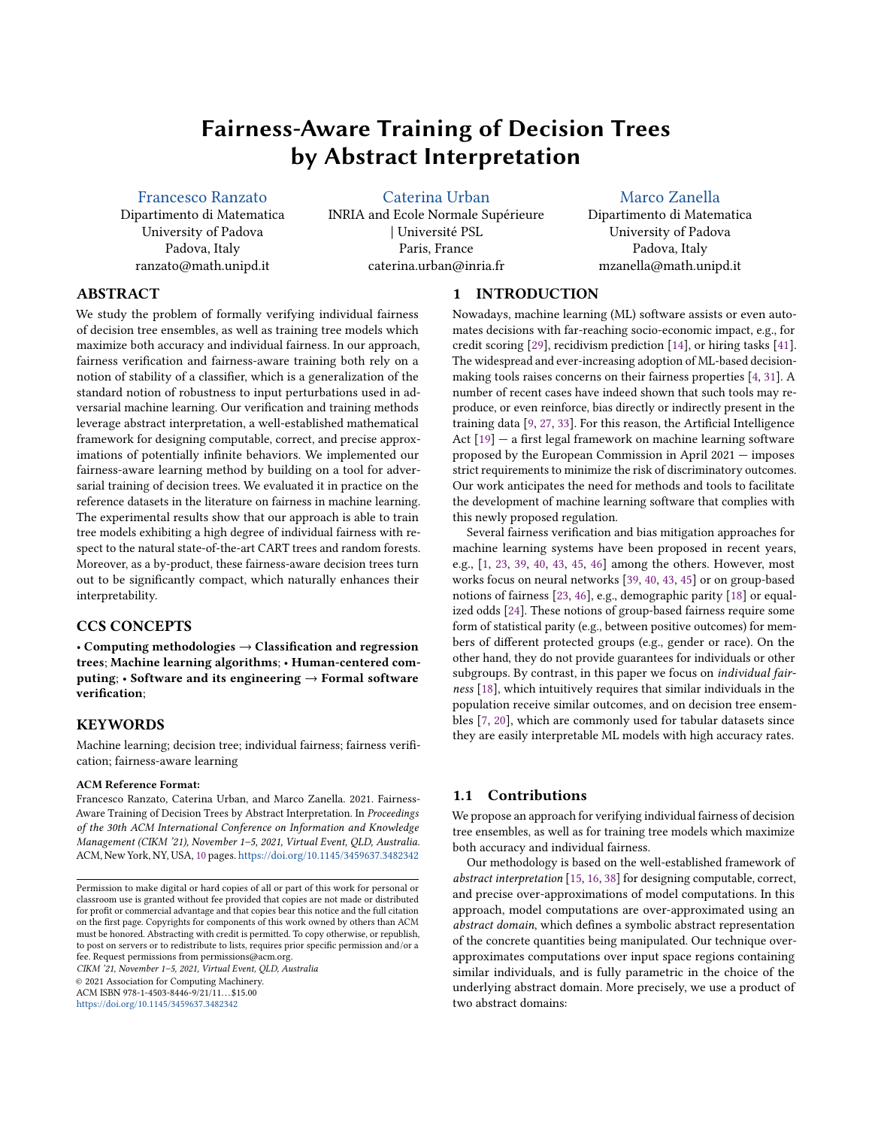# Fairness-Aware Training of Decision Trees by Abstract Interpretation

[Francesco Ranzato](https://orcid.org/0000-0003-0159-0068)

Dipartimento di Matematica University of Padova Padova, Italy ranzato@math.unipd.it

[Caterina Urban](https://orcid.org/0000-0002-8127-9642)

INRIA and Ecole Normale Supérieure | Université PSL Paris, France caterina.urban@inria.fr

[Marco Zanella](https://orcid.org/0000-0002-6164-6169)

Dipartimento di Matematica University of Padova Padova, Italy mzanella@math.unipd.it

## ABSTRACT

We study the problem of formally verifying individual fairness of decision tree ensembles, as well as training tree models which maximize both accuracy and individual fairness. In our approach, fairness verification and fairness-aware training both rely on a notion of stability of a classifier, which is a generalization of the standard notion of robustness to input perturbations used in adversarial machine learning. Our verification and training methods leverage abstract interpretation, a well-established mathematical framework for designing computable, correct, and precise approximations of potentially infinite behaviors. We implemented our fairness-aware learning method by building on a tool for adversarial training of decision trees. We evaluated it in practice on the reference datasets in the literature on fairness in machine learning. The experimental results show that our approach is able to train tree models exhibiting a high degree of individual fairness with respect to the natural state-of-the-art CART trees and random forests. Moreover, as a by-product, these fairness-aware decision trees turn out to be significantly compact, which naturally enhances their interpretability.

# CCS CONCEPTS

• Computing methodologies  $\rightarrow$  Classification and regression trees; Machine learning algorithms; • Human-centered computing;  $\cdot$  Software and its engineering  $\rightarrow$  Formal software verification;

## **KEYWORDS**

Machine learning; decision tree; individual fairness; fairness verification; fairness-aware learning

#### ACM Reference Format:

Francesco Ranzato, Caterina Urban, and Marco Zanella. 2021. Fairness-Aware Training of Decision Trees by Abstract Interpretation. In Proceedings of the 30th ACM International Conference on Information and Knowledge Management (CIKM '21), November 1–5, 2021, Virtual Event, QLD, Australia. ACM, New York, NY, USA, [10](#page-9-0) pages. <https://doi.org/10.1145/3459637.3482342>

CIKM '21, November 1–5, 2021, Virtual Event, QLD, Australia © 2021 Association for Computing Machinery. ACM ISBN 978-1-4503-8446-9/21/11...\$15.00

<https://doi.org/10.1145/3459637.3482342>

## 1 INTRODUCTION

Nowadays, machine learning (ML) software assists or even automates decisions with far-reaching socio-economic impact, e.g., for credit scoring [\[29\]](#page-9-1), recidivism prediction [\[14\]](#page-9-2), or hiring tasks [\[41\]](#page-9-3). The widespread and ever-increasing adoption of ML-based decisionmaking tools raises concerns on their fairness properties [\[4,](#page-9-4) [31\]](#page-9-5). A number of recent cases have indeed shown that such tools may reproduce, or even reinforce, bias directly or indirectly present in the training data [\[9,](#page-9-6) [27,](#page-9-7) [33\]](#page-9-8). For this reason, the Artificial Intelligence Act [\[19\]](#page-9-9) — a first legal framework on machine learning software proposed by the European Commission in April 2021 — imposes strict requirements to minimize the risk of discriminatory outcomes. Our work anticipates the need for methods and tools to facilitate the development of machine learning software that complies with this newly proposed regulation.

Several fairness verification and bias mitigation approaches for machine learning systems have been proposed in recent years, e.g., [\[1,](#page-9-10) [23,](#page-9-11) [39,](#page-9-12) [40,](#page-9-13) [43,](#page-9-14) [45,](#page-9-15) [46\]](#page-9-16) among the others. However, most works focus on neural networks [\[39,](#page-9-12) [40,](#page-9-13) [43,](#page-9-14) [45\]](#page-9-15) or on group-based notions of fairness [\[23,](#page-9-11) [46\]](#page-9-16), e.g., demographic parity [\[18\]](#page-9-17) or equalized odds [\[24\]](#page-9-18). These notions of group-based fairness require some form of statistical parity (e.g., between positive outcomes) for members of different protected groups (e.g., gender or race). On the other hand, they do not provide guarantees for individuals or other subgroups. By contrast, in this paper we focus on individual fairness [\[18\]](#page-9-17), which intuitively requires that similar individuals in the population receive similar outcomes, and on decision tree ensembles [\[7,](#page-9-19) [20\]](#page-9-20), which are commonly used for tabular datasets since they are easily interpretable ML models with high accuracy rates.

#### 1.1 Contributions

We propose an approach for verifying individual fairness of decision tree ensembles, as well as for training tree models which maximize both accuracy and individual fairness.

Our methodology is based on the well-established framework of abstract interpretation [\[15,](#page-9-21) [16,](#page-9-22) [38\]](#page-9-23) for designing computable, correct, and precise over-approximations of model computations. In this approach, model computations are over-approximated using an abstract domain, which defines a symbolic abstract representation of the concrete quantities being manipulated. Our technique overapproximates computations over input space regions containing similar individuals, and is fully parametric in the choice of the underlying abstract domain. More precisely, we use a product of two abstract domains:

Permission to make digital or hard copies of all or part of this work for personal or classroom use is granted without fee provided that copies are not made or distributed for profit or commercial advantage and that copies bear this notice and the full citation on the first page. Copyrights for components of this work owned by others than ACM must be honored. Abstracting with credit is permitted. To copy otherwise, or republish, to post on servers or to redistribute to lists, requires prior specific permission and/or a fee. Request permissions from permissions@acm.org.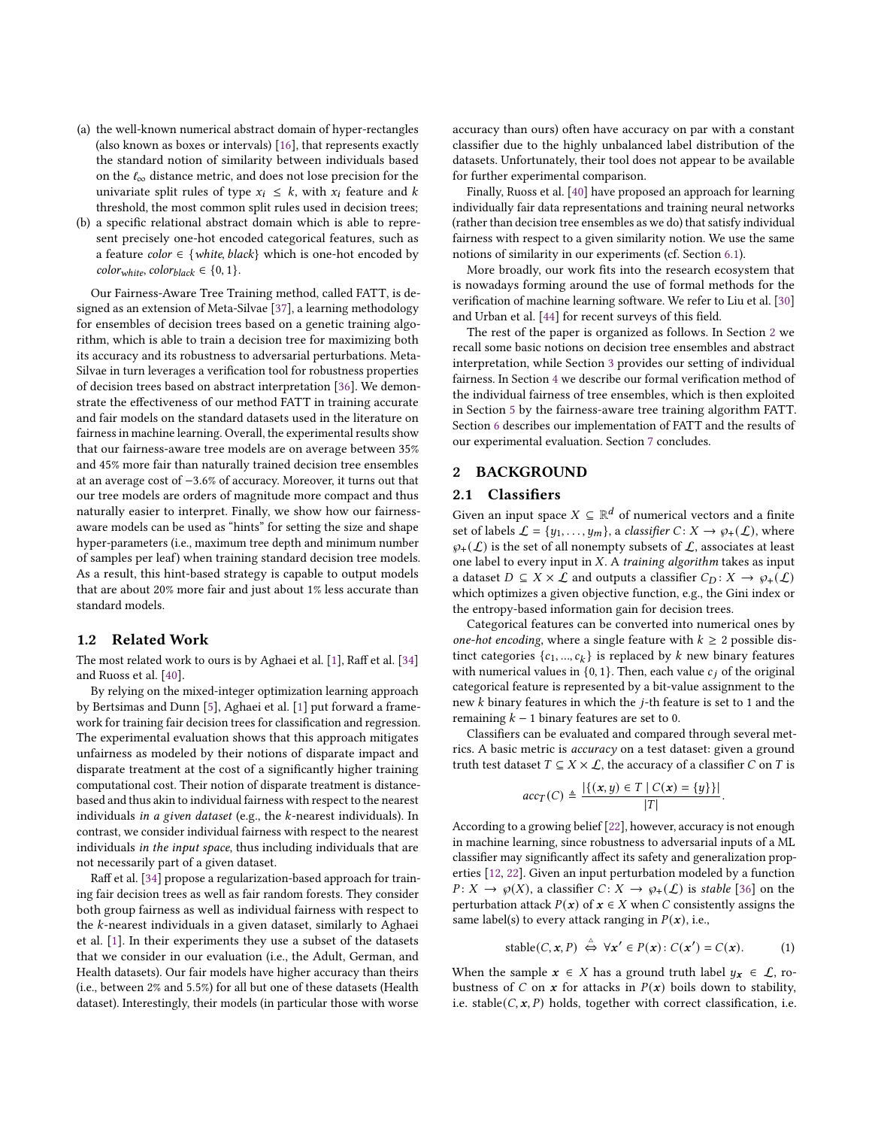- (a) the well-known numerical abstract domain of hyper-rectangles (also known as boxes or intervals) [\[16\]](#page-9-22), that represents exactly the standard notion of similarity between individuals based on the  $\ell_{\infty}$  distance metric, and does not lose precision for the univariate split rules of type  $x_i \leq k$ , with  $x_i$  feature and k threshold, the most common split rules used in decision trees;
- (b) a specific relational abstract domain which is able to represent precisely one-hot encoded categorical features, such as a feature *color*  $\in$  {*white, black*} which is one-hot encoded by  $color_{white}$ ,  $color_{black} \in \{0, 1\}$ .

Our Fairness-Aware Tree Training method, called FATT, is designed as an extension of Meta-Silvae [\[37\]](#page-9-24), a learning methodology for ensembles of decision trees based on a genetic training algorithm, which is able to train a decision tree for maximizing both its accuracy and its robustness to adversarial perturbations. Meta-Silvae in turn leverages a verification tool for robustness properties of decision trees based on abstract interpretation [\[36\]](#page-9-25). We demonstrate the effectiveness of our method FATT in training accurate and fair models on the standard datasets used in the literature on fairness in machine learning. Overall, the experimental results show that our fairness-aware tree models are on average between 35% and 45% more fair than naturally trained decision tree ensembles at an average cost of −3.6% of accuracy. Moreover, it turns out that our tree models are orders of magnitude more compact and thus naturally easier to interpret. Finally, we show how our fairnessaware models can be used as "hints" for setting the size and shape hyper-parameters (i.e., maximum tree depth and minimum number of samples per leaf) when training standard decision tree models. As a result, this hint-based strategy is capable to output models that are about 20% more fair and just about 1% less accurate than standard models.

## 1.2 Related Work

The most related work to ours is by Aghaei et al. [\[1\]](#page-9-10), Raff et al. [\[34\]](#page-9-26) and Ruoss et al. [\[40\]](#page-9-13).

By relying on the mixed-integer optimization learning approach by Bertsimas and Dunn [\[5\]](#page-9-27), Aghaei et al. [\[1\]](#page-9-10) put forward a framework for training fair decision trees for classification and regression. The experimental evaluation shows that this approach mitigates unfairness as modeled by their notions of disparate impact and disparate treatment at the cost of a significantly higher training computational cost. Their notion of disparate treatment is distancebased and thus akin to individual fairness with respect to the nearest individuals in a given dataset (e.g., the  $k$ -nearest individuals). In contrast, we consider individual fairness with respect to the nearest individuals in the input space, thus including individuals that are not necessarily part of a given dataset.

Raff et al. [\[34\]](#page-9-26) propose a regularization-based approach for training fair decision trees as well as fair random forests. They consider both group fairness as well as individual fairness with respect to the  $k$ -nearest individuals in a given dataset, similarly to Aghaei et al. [\[1\]](#page-9-10). In their experiments they use a subset of the datasets that we consider in our evaluation (i.e., the Adult, German, and Health datasets). Our fair models have higher accuracy than theirs (i.e., between 2% and 5.5%) for all but one of these datasets (Health dataset). Interestingly, their models (in particular those with worse

accuracy than ours) often have accuracy on par with a constant classifier due to the highly unbalanced label distribution of the datasets. Unfortunately, their tool does not appear to be available for further experimental comparison.

Finally, Ruoss et al. [\[40\]](#page-9-13) have proposed an approach for learning individually fair data representations and training neural networks (rather than decision tree ensembles as we do) that satisfy individual fairness with respect to a given similarity notion. We use the same notions of similarity in our experiments (cf. Section [6.1\)](#page-6-0).

More broadly, our work fits into the research ecosystem that is nowadays forming around the use of formal methods for the verification of machine learning software. We refer to Liu et al. [\[30\]](#page-9-28) and Urban et al. [\[44\]](#page-9-29) for recent surveys of this field.

The rest of the paper is organized as follows. In Section [2](#page-1-0) we recall some basic notions on decision tree ensembles and abstract interpretation, while Section [3](#page-2-0) provides our setting of individual fairness. In Section [4](#page-3-0) we describe our formal verification method of the individual fairness of tree ensembles, which is then exploited in Section [5](#page-4-0) by the fairness-aware tree training algorithm FATT. Section [6](#page-6-1) describes our implementation of FATT and the results of our experimental evaluation. Section [7](#page-7-0) concludes.

## <span id="page-1-0"></span>2 BACKGROUND

# <span id="page-1-2"></span>2.1 Classifiers

Given an input space  $X \subseteq \mathbb{R}^d$  of numerical vectors and a finite set of labels  $\mathcal{L} = \{y_1, \ldots, y_m\}$ , a *classifier*  $C: X \rightarrow \varphi_+(\mathcal{L})$ , where  $\varphi_+(\mathcal{L})$  is the set of all nonempty subsets of  $\mathcal{L}$ , associates at least one label to every input in  $X$ . A training algorithm takes as input a dataset  $D \subseteq X \times \mathcal{L}$  and outputs a classifier  $C_D : X \to \varphi_+(\mathcal{L})$ which optimizes a given objective function, e.g., the Gini index or the entropy-based information gain for decision trees.

Categorical features can be converted into numerical ones by one-hot encoding, where a single feature with  $k \geq 2$  possible distinct categories  $\{c_1, ..., c_k\}$  is replaced by k new binary features with numerical values in  $\{0, 1\}$ . Then, each value  $c_i$  of the original categorical feature is represented by a bit-value assignment to the new  $k$  binary features in which the  $j$ -th feature is set to 1 and the remaining  $k - 1$  binary features are set to 0.

Classifiers can be evaluated and compared through several metrics. A basic metric is accuracy on a test dataset: given a ground truth test dataset  $T \subseteq X \times \mathcal{L}$ , the accuracy of a classifier C on T is

$$
acc_T(C) \triangleq \frac{|\{(x, y) \in T \mid C(x) = \{y\}\}|}{|T|}
$$

.

According to a growing belief [\[22\]](#page-9-30), however, accuracy is not enough in machine learning, since robustness to adversarial inputs of a ML classifier may significantly affect its safety and generalization properties [\[12,](#page-9-31) [22\]](#page-9-30). Given an input perturbation modeled by a function  $P: X \to \varphi(X)$ , a classifier  $C: X \to \varphi_+(\mathcal{L})$  is stable [\[36\]](#page-9-25) on the perturbation attack  $P(x)$  of  $x \in X$  when C consistently assigns the same label(s) to every attack ranging in  $P(x)$ , i.e.,

<span id="page-1-1"></span>stable
$$
(C, x, P) \stackrel{\triangle}{\iff} \forall x' \in P(x): C(x') = C(x).
$$
 (1)

When the sample  $x \in X$  has a ground truth label  $y_x \in \mathcal{L}$ , robustness of C on x for attacks in  $P(x)$  boils down to stability, i.e. stable( $C, x, P$ ) holds, together with correct classification, i.e.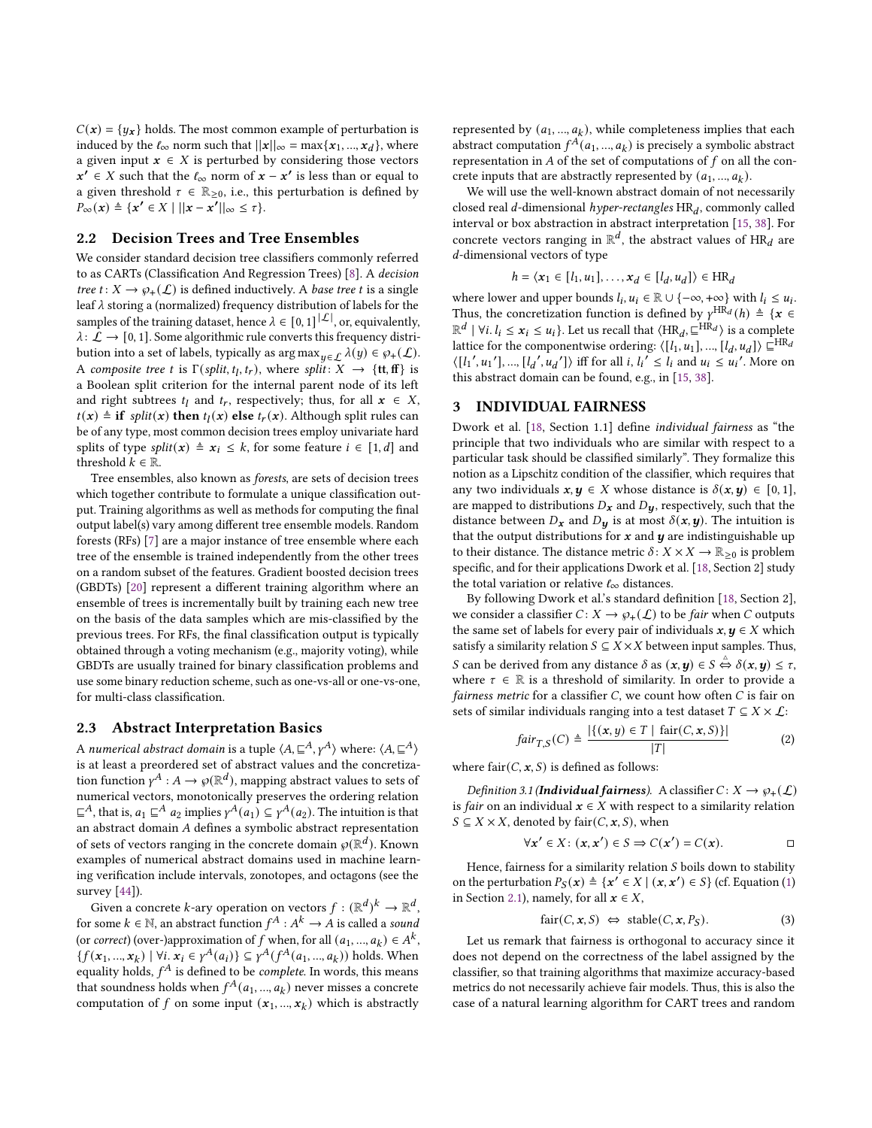$C(\boldsymbol{x}) = \{ y_{\boldsymbol{x}} \}$  holds. The most common example of perturbation is induced by the  $\ell_{\infty}$  norm such that  $||x||_{\infty} = \max\{x_1, ..., x_d\}$ , where a given input  $x \in X$  is perturbed by considering those vectors  $x' \in X$  such that the  $\ell_{\infty}$  norm of  $x - x'$  is less than or equal to a given threshold  $\tau \in \mathbb{R}_{\geq 0}$ , i.e., this perturbation is defined by  $P_{\infty}(x) \triangleq \{x' \in X \mid ||x - x'||_{\infty} \leq \tau\}.$ 

## 2.2 Decision Trees and Tree Ensembles

We consider standard decision tree classifiers commonly referred to as CARTs (Classification And Regression Trees) [\[8\]](#page-9-32). A decision tree  $t: X \to \varphi_+(\mathcal{L})$  is defined inductively. A base tree t is a single leaf  $\lambda$  storing a (normalized) frequency distribution of labels for the samples of the training dataset, hence  $\lambda \in [0,1]^{|\mathcal{L}|}$ , or, equivalently,  $\lambda\colon \mathcal{L}\to [0,1].$  Some algorithmic rule converts this frequency distribution into a set of labels, typically as  $\arg \max_{u \in \mathcal{L}} \lambda(u) \in \varphi_+(\mathcal{L}).$ A composite tree t is  $\Gamma(\text{split}, t_l, t_r)$ , where split:  $X \to \{ \text{tt}, \text{ff} \}$  is a Boolean split criterion for the internal parent node of its left and right subtrees  $t_l$  and  $t_r$ , respectively; thus, for all  $x \in X$ ,  $t(x)$  ≜ if *split(x)* then  $t_l(x)$  else  $t_r(x)$ . Although split rules can be of any type, most common decision trees employ univariate hard splits of type split( $x$ ) ≜  $x$ <sub>i</sub> ≤ k, for some feature  $i \in [1, d]$  and threshold  $k \in \mathbb{R}$ .

Tree ensembles, also known as forests, are sets of decision trees which together contribute to formulate a unique classification output. Training algorithms as well as methods for computing the final output label(s) vary among different tree ensemble models. Random forests (RFs) [\[7\]](#page-9-19) are a major instance of tree ensemble where each tree of the ensemble is trained independently from the other trees on a random subset of the features. Gradient boosted decision trees (GBDTs) [\[20\]](#page-9-20) represent a different training algorithm where an ensemble of trees is incrementally built by training each new tree on the basis of the data samples which are mis-classified by the previous trees. For RFs, the final classification output is typically obtained through a voting mechanism (e.g., majority voting), while GBDTs are usually trained for binary classification problems and use some binary reduction scheme, such as one-vs-all or one-vs-one, for multi-class classification.

#### 2.3 Abstract Interpretation Basics

A numerical abstract domain is a tuple  $\langle A, \sqsubseteq^A, \gamma^A \rangle$  where:  $\langle A, \sqsubseteq^A \rangle$ is at least a preordered set of abstract values and the concretization function  $\gamma^A : A \to \varphi(\mathbb{R}^d)$ , mapping abstract values to sets of numerical vectors, monotonically preserves the ordering relation  $\subseteq^A$ , that is,  $a_1 \subseteq^A a_2$  implies  $\gamma^A(a_1) \subseteq \gamma^A(a_2)$ . The intuition is that an abstract domain A defines a symbolic abstract representation of sets of vectors ranging in the concrete domain  $\wp(\mathbb{R}^d)$ . Known examples of numerical abstract domains used in machine learning verification include intervals, zonotopes, and octagons (see the survey [\[44\]](#page-9-29)).

Given a concrete k-ary operation on vectors  $f : (\mathbb{R}^d)^k \to \mathbb{R}^d$ , for some  $k \in \mathbb{N}$ , an abstract function  $f^A : A^k \to A$  is called a sound (or correct) (over-)approximation of f when, for all  $(a_1, ..., a_k) \in A^k$ ,  ${f(x_1, ..., x_k) \mid \forall i \, x_i \in \gamma^A(a_i)} \subseteq \gamma^A(f^A(a_1, ..., a_k))$  holds. When equality holds,  $f^A$  is defined to be *complete*. In words, this means that soundness holds when  $f^A(a_1, ..., a_k)$  never misses a concrete computation of f on some input  $(x_1, ..., x_k)$  which is abstractly

represented by  $(a_1, ..., a_k)$ , while completeness implies that each abstract computation  $f^{A}(a_1, ..., a_k)$  is precisely a symbolic abstract representation in  $A$  of the set of computations of  $f$  on all the concrete inputs that are abstractly represented by  $(a_1, ..., a_k)$ .

We will use the well-known abstract domain of not necessarily closed real d-dimensional hyper-rectangles  $HR_d$ , commonly called interval or box abstraction in abstract interpretation [\[15,](#page-9-21) [38\]](#page-9-23). For concrete vectors ranging in  $\mathbb{R}^d$ , the abstract values of  $\overrightarrow{HR}_d$  are -dimensional vectors of type

$$
h = \langle x_1 \in [l_1, u_1], \dots, x_d \in [l_d, u_d] \rangle \in \text{HR}_d
$$

where lower and upper bounds  $l_i, u_i \in \mathbb{R} \cup \{-\infty, +\infty\}$  with  $l_i \leq u_i$ . Thus, the concretization function is defined by  $\gamma^{\text{HR}_{d}}(h) \triangleq \{x \in$  $\mathbb{R}^d \mid \forall i. l_i \leq x_i \leq u_i$ . Let us recall that  $\langle HR_d, \sqsubseteq ^{HR_d} \rangle$  is a complete lattice for the componentwise ordering:  $\langle [l_1, u_1], ..., [l_d, u_d] \rangle \subseteq^{HR_d}$  $\langle [l_1', u_1'], ..., [l_d', u_d'] \rangle$  iff for all i,  $l_i' \leq l_i$  and  $u_i \leq u_i'$ . More on this abstract domain can be found, e.g., in [\[15,](#page-9-21) [38\]](#page-9-23).

## <span id="page-2-0"></span>3 INDIVIDUAL FAIRNESS

Dwork et al. [\[18,](#page-9-17) Section 1.1] define individual fairness as "the principle that two individuals who are similar with respect to a particular task should be classified similarly". They formalize this notion as a Lipschitz condition of the classifier, which requires that any two individuals  $x, y \in X$  whose distance is  $\delta(x, y) \in [0, 1]$ , are mapped to distributions  $D_x$  and  $D_y$ , respectively, such that the distance between  $D_x$  and  $D_y$  is at most  $\delta(x, y)$ . The intuition is that the output distributions for  $x$  and  $y$  are indistinguishable up to their distance. The distance metric  $\delta: X \times X \to \mathbb{R}_{\geq 0}$  is problem specific, and for their applications Dwork et al. [\[18,](#page-9-17) Section 2] study the total variation or relative  $\ell_{\infty}$  distances.

By following Dwork et al.'s standard definition [\[18,](#page-9-17) Section 2], we consider a classifier  $C: X \to \varphi_+(\mathcal{L})$  to be *fair* when C outputs the same set of labels for every pair of individuals  $x, y \in X$  which satisfy a similarity relation  $S \subseteq X \times X$  between input samples. Thus, *S* can be derived from any distance *δ* as  $(x, y) \in S \stackrel{\scriptscriptstyle\triangle}{\Leftrightarrow} \delta(x, y) \leq τ$ , where  $\tau \in \mathbb{R}$  is a threshold of similarity. In order to provide a fairness metric for a classifier  $C$ , we count how often  $C$  is fair on sets of similar individuals ranging into a test dataset  $T \subseteq X \times L$ :

$$
fair_{T,S}(C) \triangleq \frac{|\{(x,y) \in T \mid \text{fair}(C, x, S)\}|}{|T|}
$$
 (2)

where  $fair(C, x, S)$  is defined as follows:

Definition 3.1 (**Individual fairness**). A classifier  $C: X \rightarrow \varphi_+(\mathcal{L})$ is *fair* on an individual  $x \in X$  with respect to a similarity relation  $S \subseteq X \times X$ , denoted by fair $(C, x, S)$ , when

$$
\forall x' \in X \colon (x, x') \in S \Rightarrow C(x') = C(x). \Box
$$

Hence, fairness for a similarity relation  $S$  boils down to stability on the perturbation  $P_S(x) \triangleq \{x' \in X \mid (x, x') \in S\}$  (cf. Equation [\(1\)](#page-1-1) in Section [2.1\)](#page-1-2), namely, for all  $x \in X$ ,

<span id="page-2-1"></span>
$$
fair(C, x, S) \Leftrightarrow stable(C, x, P_S). \tag{3}
$$

Let us remark that fairness is orthogonal to accuracy since it does not depend on the correctness of the label assigned by the classifier, so that training algorithms that maximize accuracy-based metrics do not necessarily achieve fair models. Thus, this is also the case of a natural learning algorithm for CART trees and random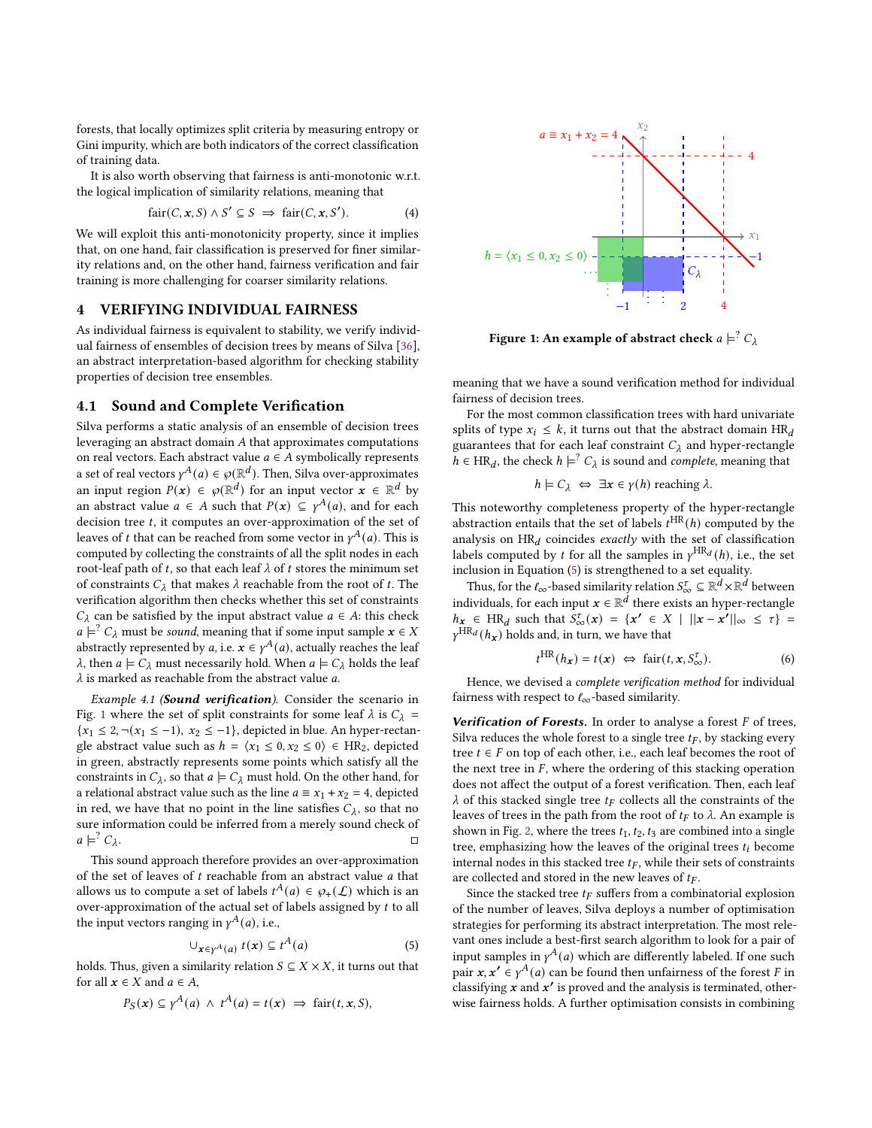forests, that locally optimizes split criteria by measuring entropy or Gini impurity, which are both indicators of the correct classification of training data.

It is also worth observing that fairness is anti-monotonic w.r.t. the logical implication of similarity relations, meaning that

<span id="page-3-5"></span>
$$
fair(C, x, S) \land S' \subseteq S \implies fair(C, x, S'). \tag{4}
$$

We will exploit this anti-monotonicity property, since it implies that, on one hand, fair classification is preserved for finer similarity relations and, on the other hand, fairness verification and fair training is more challenging for coarser similarity relations.

#### <span id="page-3-0"></span>4 VERIFYING INDIVIDUAL FAIRNESS

As individual fairness is equivalent to stability, we verify individual fairness of ensembles of decision trees by means of Silva [\[36\]](#page-9-25), an abstract interpretation-based algorithm for checking stability properties of decision tree ensembles.

## <span id="page-3-4"></span>4.1 Sound and Complete Verification

Silva performs a static analysis of an ensemble of decision trees leveraging an abstract domain  $A$  that approximates computations on real vectors. Each abstract value  $a \in A$  symbolically represents a set of real vectors  $\gamma^A(a) \in \wp(\mathbb{R}^d)$ . Then, Silva over-approximates an input region  $P(x) \in \mathcal{P}(\mathbb{R}^d)$  for an input vector  $x \in \mathbb{R}^d$  by an abstract value  $a \in A$  such that  $P(x) \subseteq \gamma^A(a)$ , and for each decision tree  $t$ , it computes an over-approximation of the set of leaves of t that can be reached from some vector in  $\gamma^A(a)$ . This is computed by collecting the constraints of all the split nodes in each root-leaf path of t, so that each leaf  $\lambda$  of t stores the minimum set of constraints  $C_{\lambda}$  that makes  $\lambda$  reachable from the root of t. The verification algorithm then checks whether this set of constraints  $C_{\lambda}$  can be satisfied by the input abstract value  $a \in A$ : this check  $a \models^? C_\lambda$  must be *sound*, meaning that if some input sample  $x \in X$ abstractly represented by a, i.e.  $x \in \gamma^A(a)$ , actually reaches the leaf  $\lambda$ , then  $a \models C_{\lambda}$  must necessarily hold. When  $a \models C_{\lambda}$  holds the leaf  $\lambda$  is marked as reachable from the abstract value  $a.$ 

Example 4.1 (Sound verification). Consider the scenario in Fig. [1](#page-3-1) where the set of split constraints for some leaf  $\lambda$  is  $C_{\lambda}$  = { $x_1$  ≤ 2, ¬( $x_1$  ≤ −1),  $x_2$  ≤ −1}, depicted in blue. An hyper-rectangle abstract value such as  $h = \langle x_1 \leq 0, x_2 \leq 0 \rangle \in HR_2$ , depicted in green, abstractly represents some points which satisfy all the constraints in  $C_{\lambda}$ , so that  $a \models C_{\lambda}$  must hold. On the other hand, for a relational abstract value such as the line  $a \equiv x_1 + x_2 = 4$ , depicted in red, we have that no point in the line satisfies  $C_{\lambda}$ , so that no sure information could be inferred from a merely sound check of  $a \models^? C_\lambda$ . □

This sound approach therefore provides an over-approximation of the set of leaves of  $t$  reachable from an abstract value  $a$  that allows us to compute a set of labels  $t^A(a) \in \wp_+(\mathcal{L})$  which is an over-approximation of the actual set of labels assigned by  $t$  to all the input vectors ranging in  $\gamma^A(a)$ , i.e.,

<span id="page-3-2"></span>
$$
\bigcup_{\mathbf{x}\in\gamma^{A}(a)}t(\mathbf{x})\subseteq t^{A}(a)\tag{5}
$$

holds. Thus, given a similarity relation  $S \subseteq X \times X$ , it turns out that for all  $x \in X$  and  $a \in A$ ,

$$
P_S(x) \subseteq \gamma^A(a) \ \wedge \ t^A(a) = t(x) \ \Rightarrow \ \text{fair}(t, x, S),
$$

<span id="page-3-1"></span>

Figure 1: An example of abstract check  $a\models^? C_\lambda$ 

meaning that we have a sound verification method for individual fairness of decision trees.

For the most common classification trees with hard univariate splits of type  $x_i \leq k$ , it turns out that the abstract domain  $HR_d$ guarantees that for each leaf constraint  $C_{\lambda}$  and hyper-rectangle  $h \in HR_d$ , the check  $h \models^? C_\lambda$  is sound and *complete*, meaning that

$$
h \models C_{\lambda} \Leftrightarrow \exists x \in \gamma(h)
$$
 reaching  $\lambda$ .

This noteworthy completeness property of the hyper-rectangle abstraction entails that the set of labels  $t^{HR}(h)$  computed by the analysis on  $HR_d$  coincides exactly with the set of classification labels computed by t for all the samples in  $\gamma^{HR_d}(h)$ , i.e., the set inclusion in Equation [\(5\)](#page-3-2) is strengthened to a set equality.

Thus, for the  $\ell_{\infty}$ -based similarity relation  $S^{\tau}_{\infty} \subseteq \mathbb{R}^d \times \mathbb{R}^d$  between individuals, for each input  $x \in \mathbb{R}^d$  there exists an hyper-rectangle  $h_{\mathbf{x}} \in \text{HR}_d$  such that  $S^{\tau}_{\infty}(\mathbf{x}) = \{ \mathbf{x'} \in X \mid ||\mathbf{x} - \mathbf{x'}||_{\infty} \leq \tau \}$  $\gamma^{\text{HR}_d}(h_x)$  holds and, in turn, we have that

<span id="page-3-3"></span>
$$
t^{\text{HR}}(h_{\mathbf{x}}) = t(\mathbf{x}) \iff \text{fair}(t, \mathbf{x}, S_{\infty}^{\tau}). \tag{6}
$$

Hence, we devised a complete verification method for individual fairness with respect to  $\ell_{\infty}$ -based similarity.

Verification of Forests. In order to analyse a forest  $F$  of trees, Silva reduces the whole forest to a single tree  $t_F$ , by stacking every tree  $t \in F$  on top of each other, i.e., each leaf becomes the root of the next tree in  $F$ , where the ordering of this stacking operation does not affect the output of a forest verification. Then, each leaf  $\lambda$  of this stacked single tree  $t_F$  collects all the constraints of the leaves of trees in the path from the root of  $t_F$  to  $\lambda$ . An example is shown in Fig. [2,](#page-4-1) where the trees  $t_1$ ,  $t_2$ ,  $t_3$  are combined into a single tree, emphasizing how the leaves of the original trees  $t_i$  become internal nodes in this stacked tree  $t_F$ , while their sets of constraints are collected and stored in the new leaves of  $t_F$ .

Since the stacked tree  $t_F$  suffers from a combinatorial explosion of the number of leaves, Silva deploys a number of optimisation strategies for performing its abstract interpretation. The most relevant ones include a best-first search algorithm to look for a pair of input samples in  $\gamma^A(a)$  which are differently labeled. If one such pair  $x, x' \in \gamma^A(a)$  can be found then unfairness of the forest F in classifying  $x$  and  $x'$  is proved and the analysis is terminated, otherwise fairness holds. A further optimisation consists in combining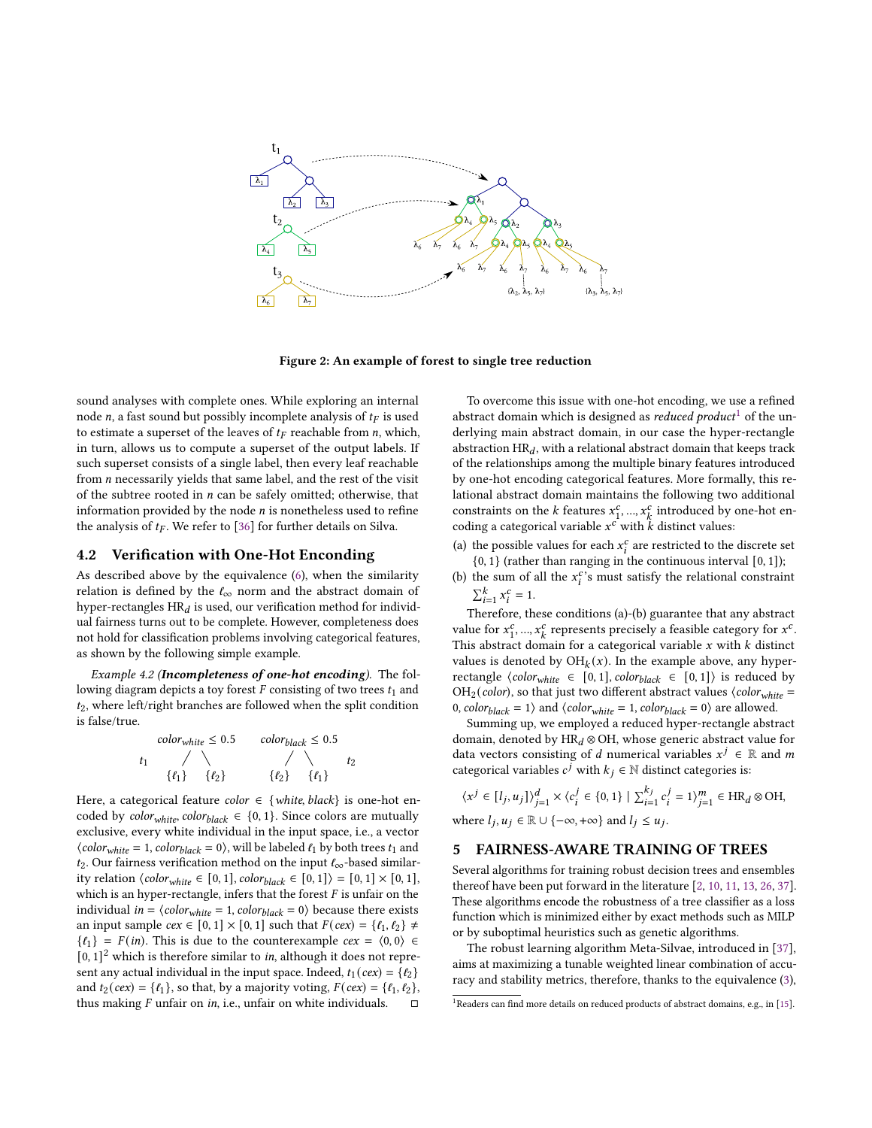<span id="page-4-1"></span>

Figure 2: An example of forest to single tree reduction

sound analyses with complete ones. While exploring an internal node  $n$ , a fast sound but possibly incomplete analysis of  $t_F$  is used to estimate a superset of the leaves of  $t_F$  reachable from *n*, which, in turn, allows us to compute a superset of the output labels. If such superset consists of a single label, then every leaf reachable from *n* necessarily yields that same label, and the rest of the visit of the subtree rooted in  $n$  can be safely omitted; otherwise, that information provided by the node  $n$  is nonetheless used to refine the analysis of  $t_F$ . We refer to [\[36\]](#page-9-25) for further details on Silva.

#### <span id="page-4-3"></span>4.2 Verification with One-Hot Enconding

As described above by the equivalence [\(6\)](#page-3-3), when the similarity relation is defined by the  $\ell_{\infty}$  norm and the abstract domain of hyper-rectangles  $\text{HR}_d$  is used, our verification method for individual fairness turns out to be complete. However, completeness does not hold for classification problems involving categorical features, as shown by the following simple example.

Example 4.2 (Incompleteness of one-hot encoding). The following diagram depicts a toy forest  $F$  consisting of two trees  $t_1$  and  $t_2$ , where left/right branches are followed when the split condition is false/true.

$$
color_{white} \leq 0.5 \qquad color_{black} \leq 0.5
$$
  

$$
t_1 \qquad \qquad / \qquad \qquad / \qquad \qquad t_2
$$
  

$$
\{ \ell_1 \} \qquad \{ \ell_2 \} \qquad \{ \ell_2 \} \qquad \{ \ell_1 \}
$$

Here, a categorical feature *color*  $\in$  {*white, black*} is one-hot encoded by *color<sub>white</sub>*, *color<sub>black</sub>*  $\in \{0, 1\}$ . Since colors are mutually exclusive, every white individual in the input space, i.e., a vector  $\langle color_{white} = 1, color_{black} = 0 \rangle$ , will be labeled  $\ell_1$  by both trees  $t_1$  and  $t_2$ . Our fairness verification method on the input  $\ell_{\infty}$ -based similarity relation  $\langle color_{white} \in [0,1], color_{black} \in [0,1] \rangle = [0,1] \times [0,1],$ which is an hyper-rectangle, infers that the forest  $F$  is unfair on the individual  $in = \langle color_{white} = 1, color_{black} = 0 \rangle$  because there exists an input sample  $cex \in [0, 1] \times [0, 1]$  such that  $F(cex) = \{ \ell_1, \ell_2 \} \neq$  $\{\ell_1\} = F(in)$ . This is due to the counterexample  $cex = \langle 0, 0 \rangle \in$  $[0, 1]^2$  which is therefore similar to *in*, although it does not represent any actual individual in the input space. Indeed,  $t_1(cex) = \{t_2\}$ and  $t_2(cex) = \{ \ell_1 \}$ , so that, by a majority voting,  $F(cex) = \{ \ell_1, \ell_2 \}$ , thus making  $F$  unfair on in, i.e., unfair on white individuals.  $□$ 

To overcome this issue with one-hot encoding, we use a refined abstract domain which is designed as *reduced product*<sup>[1](#page-4-2)</sup> of the underlying main abstract domain, in our case the hyper-rectangle abstraction  $HR_d$ , with a relational abstract domain that keeps track of the relationships among the multiple binary features introduced by one-hot encoding categorical features. More formally, this relational abstract domain maintains the following two additional constraints on the *k* features  $x_1^c$ , ...,  $x_k^c$  introduced by one-hot encoding a categorical variable  $x^c$  with  $\stackrel{\kappa}{k}$  distinct values:

- (a) the possible values for each  $x_i^c$  are restricted to the discrete set  ${0, 1}$  (rather than ranging in the continuous interval  $[0, 1]$ );
- (b) the sum of all the  $x_i^c$ 's must satisfy the relational constraint  $\sum_{i=1}^k x_i^c = 1.$

Therefore, these conditions (a)-(b) guarantee that any abstract value for  $x_1^c, ..., x_k^c$  represents precisely a feasible category for  $x^c$ . This abstract domain for a categorical variable  $x$  with  $k$  distinct values is denoted by  $OH_k(x)$ . In the example above, any hyperrectangle  $\langle color_{white} \in [0,1], color_{black} \in [0,1] \rangle$  is reduced by OH<sub>2</sub>(color), so that just two different abstract values  $\langle color_{white} =$ 0,  $color_{black} = 1$  and  $\langle color_{white} = 1, color_{black} = 0 \rangle$  are allowed.

Summing up, we employed a reduced hyper-rectangle abstract domain, denoted by HR $_d$  ⊗ OH, whose generic abstract value for data vectors consisting of d numerical variables  $x^j \in \mathbb{R}$  and m categorical variables  $c^{\vec{j}}$  with  $k_i \in \mathbb{N}$  distinct categories is:

$$
\langle x^j \in [l_j, u_j] \rangle_{j=1}^d \times \langle c_i^j \in \{0, 1\} \mid \sum_{i=1}^{k_j} c_i^j = 1 \rangle_{j=1}^m \in \text{HR}_d \otimes \text{OH},
$$
  
where  $l_j, u_j \in \mathbb{R} \cup \{-\infty, +\infty\}$  and  $l_j \le u_j$ .

## <span id="page-4-0"></span>5 FAIRNESS-AWARE TRAINING OF TREES

Several algorithms for training robust decision trees and ensembles thereof have been put forward in the literature [\[2,](#page-9-33) [10,](#page-9-34) [11,](#page-9-35) [13,](#page-9-36) [26,](#page-9-37) [37\]](#page-9-24). These algorithms encode the robustness of a tree classifier as a loss function which is minimized either by exact methods such as MILP or by suboptimal heuristics such as genetic algorithms.

The robust learning algorithm Meta-Silvae, introduced in [\[37\]](#page-9-24), aims at maximizing a tunable weighted linear combination of accuracy and stability metrics, therefore, thanks to the equivalence [\(3\)](#page-2-1),

<span id="page-4-2"></span><sup>&</sup>lt;sup>1</sup>Readers can find more details on reduced products of abstract domains, e.g., in [\[15\]](#page-9-21).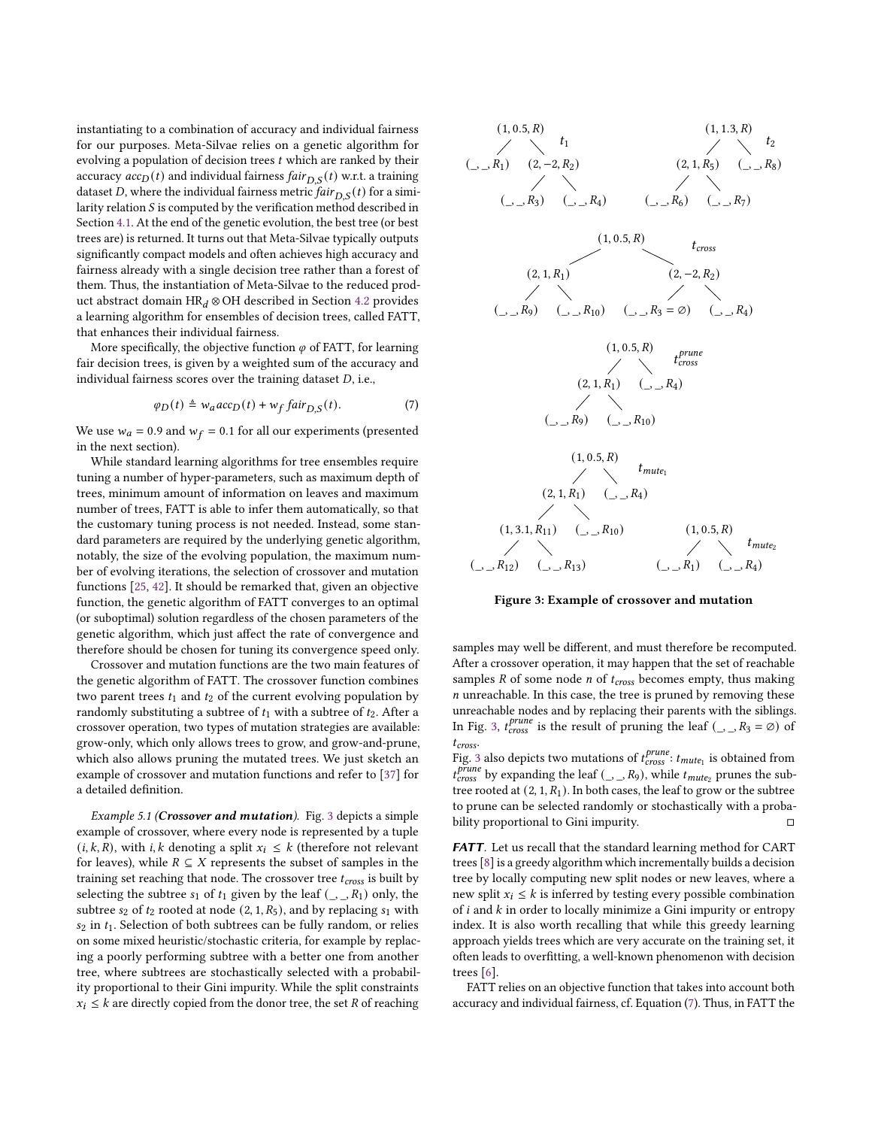instantiating to a combination of accuracy and individual fairness for our purposes. Meta-Silvae relies on a genetic algorithm for evolving a population of decision trees  $t$  which are ranked by their accuracy  $acc_D(t)$  and individual fairness  $fair_{D,S}(t)$  w.r.t. a training dataset D, where the individual fairness metric  $fair_{D,S}(t)$  for a similarity relation  $S$  is computed by the verification method described in Section [4.1.](#page-3-4) At the end of the genetic evolution, the best tree (or best trees are) is returned. It turns out that Meta-Silvae typically outputs significantly compact models and often achieves high accuracy and fairness already with a single decision tree rather than a forest of them. Thus, the instantiation of Meta-Silvae to the reduced product abstract domain HR $_d$  ⊗ OH described in Section [4.2](#page-4-3) provides a learning algorithm for ensembles of decision trees, called FATT, that enhances their individual fairness.

More specifically, the objective function  $\varphi$  of FATT, for learning fair decision trees, is given by a weighted sum of the accuracy and individual fairness scores over the training dataset  $D$ , i.e.,

<span id="page-5-1"></span>
$$
\varphi_D(t) \triangleq w_a acc_D(t) + w_f fair_{D,S}(t). \tag{7}
$$

We use  $w_a = 0.9$  and  $w_f = 0.1$  for all our experiments (presented in the next section).

While standard learning algorithms for tree ensembles require tuning a number of hyper-parameters, such as maximum depth of trees, minimum amount of information on leaves and maximum number of trees, FATT is able to infer them automatically, so that the customary tuning process is not needed. Instead, some standard parameters are required by the underlying genetic algorithm, notably, the size of the evolving population, the maximum number of evolving iterations, the selection of crossover and mutation functions [\[25,](#page-9-38) [42\]](#page-9-39). It should be remarked that, given an objective function, the genetic algorithm of FATT converges to an optimal (or suboptimal) solution regardless of the chosen parameters of the genetic algorithm, which just affect the rate of convergence and therefore should be chosen for tuning its convergence speed only.

Crossover and mutation functions are the two main features of the genetic algorithm of FATT. The crossover function combines two parent trees  $t_1$  and  $t_2$  of the current evolving population by randomly substituting a subtree of  $t_1$  with a subtree of  $t_2$ . After a crossover operation, two types of mutation strategies are available: grow-only, which only allows trees to grow, and grow-and-prune, which also allows pruning the mutated trees. We just sketch an example of crossover and mutation functions and refer to [\[37\]](#page-9-24) for a detailed definition.

Example 5.1 (Crossover and mutation). Fig. [3](#page-5-0) depicts a simple example of crossover, where every node is represented by a tuple  $(i, k, R)$ , with *i*, *k* denoting a split  $x_i \leq k$  (therefore not relevant for leaves), while  $R \subseteq X$  represents the subset of samples in the training set reaching that node. The crossover tree  $t_{cross}$  is built by selecting the subtree  $s_1$  of  $t_1$  given by the leaf  $(\_, R_1)$  only, the subtree  $s_2$  of  $t_2$  rooted at node (2, 1,  $R_5$ ), and by replacing  $s_1$  with  $s_2$  in  $t_1$ . Selection of both subtrees can be fully random, or relies on some mixed heuristic/stochastic criteria, for example by replacing a poorly performing subtree with a better one from another tree, where subtrees are stochastically selected with a probability proportional to their Gini impurity. While the split constraints  $x_i \leq k$  are directly copied from the donor tree, the set R of reaching

<span id="page-5-0"></span>

Figure 3: Example of crossover and mutation

samples may well be different, and must therefore be recomputed. After a crossover operation, it may happen that the set of reachable samples  $R$  of some node  $n$  of  $t_{cross}$  becomes empty, thus making  $n$  unreachable. In this case, the tree is pruned by removing these unreachable nodes and by replacing their parents with the siblings. In Fig. [3,](#page-5-0)  $t_{cross}^{prune}$  is the result of pruning the leaf (\_, \_, R<sub>3</sub> =  $\emptyset$ ) of  $t_{cross.}$ 

Fig. [3](#page-5-0) also depicts two mutations of  $t^{prune}_{cross}$ :  $t_{mute_1}$  is obtained from  $t^{prime}_{cross}$  by expanding the leaf (  $\Box$   $\Box$   $R_9$ ), while  $t_{mute_2}$  prunes the subtree rooted at  $(2, 1, R_1)$ . In both cases, the leaf to grow or the subtree to prune can be selected randomly or stochastically with a probability proportional to Gini impurity. □

FATT. Let us recall that the standard learning method for CART trees [\[8\]](#page-9-32) is a greedy algorithm which incrementally builds a decision tree by locally computing new split nodes or new leaves, where a new split  $x_i \leq k$  is inferred by testing every possible combination of  $i$  and  $k$  in order to locally minimize a Gini impurity or entropy index. It is also worth recalling that while this greedy learning approach yields trees which are very accurate on the training set, it often leads to overfitting, a well-known phenomenon with decision trees [\[6\]](#page-9-40).

FATT relies on an objective function that takes into account both accuracy and individual fairness, cf. Equation [\(7\)](#page-5-1). Thus, in FATT the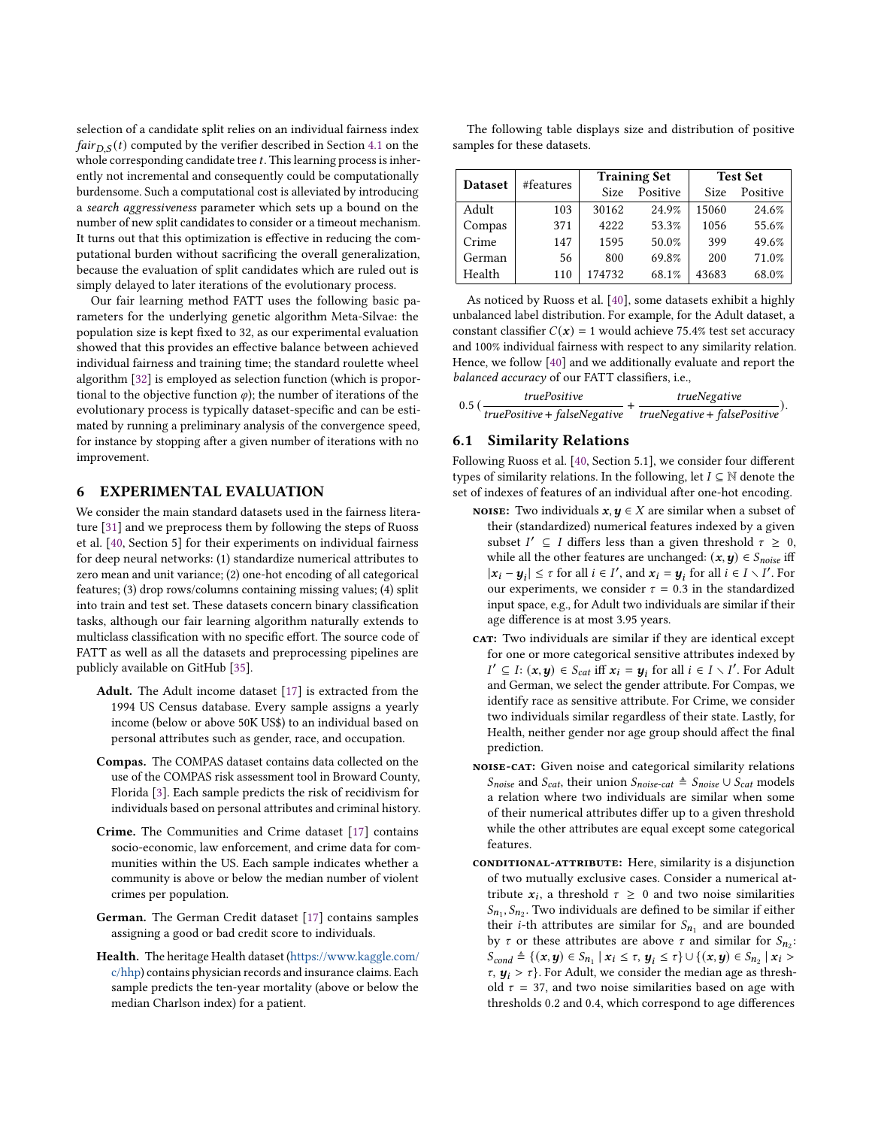selection of a candidate split relies on an individual fairness index *fair*<sub>D S</sub>(*t*) computed by the verifier described in Section [4.1](#page-3-4) on the whole corresponding candidate tree  $t$ . This learning process is inherently not incremental and consequently could be computationally burdensome. Such a computational cost is alleviated by introducing a search aggressiveness parameter which sets up a bound on the number of new split candidates to consider or a timeout mechanism. It turns out that this optimization is effective in reducing the computational burden without sacrificing the overall generalization, because the evaluation of split candidates which are ruled out is simply delayed to later iterations of the evolutionary process.

Our fair learning method FATT uses the following basic parameters for the underlying genetic algorithm Meta-Silvae: the population size is kept fixed to 32, as our experimental evaluation showed that this provides an effective balance between achieved individual fairness and training time; the standard roulette wheel algorithm [\[32\]](#page-9-41) is employed as selection function (which is proportional to the objective function  $\varphi$ ); the number of iterations of the evolutionary process is typically dataset-specific and can be estimated by running a preliminary analysis of the convergence speed, for instance by stopping after a given number of iterations with no improvement.

## <span id="page-6-1"></span>6 EXPERIMENTAL EVALUATION

We consider the main standard datasets used in the fairness literature [\[31\]](#page-9-5) and we preprocess them by following the steps of Ruoss et al. [\[40,](#page-9-13) Section 5] for their experiments on individual fairness for deep neural networks: (1) standardize numerical attributes to zero mean and unit variance; (2) one-hot encoding of all categorical features; (3) drop rows/columns containing missing values; (4) split into train and test set. These datasets concern binary classification tasks, although our fair learning algorithm naturally extends to multiclass classification with no specific effort. The source code of FATT as well as all the datasets and preprocessing pipelines are publicly available on GitHub [\[35\]](#page-9-42).

- Adult. The Adult income dataset [\[17\]](#page-9-43) is extracted from the 1994 US Census database. Every sample assigns a yearly income (below or above 50K US\$) to an individual based on personal attributes such as gender, race, and occupation.
- Compas. The COMPAS dataset contains data collected on the use of the COMPAS risk assessment tool in Broward County, Florida [\[3\]](#page-9-44). Each sample predicts the risk of recidivism for individuals based on personal attributes and criminal history.
- Crime. The Communities and Crime dataset [\[17\]](#page-9-43) contains socio-economic, law enforcement, and crime data for communities within the US. Each sample indicates whether a community is above or below the median number of violent crimes per population.
- German. The German Credit dataset [\[17\]](#page-9-43) contains samples assigning a good or bad credit score to individuals.
- Health. The heritage Health dataset [\(https://www.kaggle.com/](https://www.kaggle.com/c/hhp) [c/hhp\)](https://www.kaggle.com/c/hhp) contains physician records and insurance claims. Each sample predicts the ten-year mortality (above or below the median Charlson index) for a patient.

| The following table displays size and distribution of positive |  |  |  |
|----------------------------------------------------------------|--|--|--|
| samples for these datasets.                                    |  |  |  |

| <b>Dataset</b> | #features |             | <b>Training Set</b> | <b>Test Set</b> |          |  |
|----------------|-----------|-------------|---------------------|-----------------|----------|--|
|                |           | <b>Size</b> | Positive            | <b>Size</b>     | Positive |  |
| Adult          | 103       | 30162       | 24.9%               | 15060           | 24.6%    |  |
| Compas         | 371       | 4222        | 53.3%               | 1056            | 55.6%    |  |
| Crime          | 147       | 1595        | 50.0%               | 399             | 49.6%    |  |
| German         | 56        | 800         | 69.8%               | 200             | 71.0%    |  |
| Health         | 110       | 174732      | 68.1%               | 43683           | 68.0%    |  |

As noticed by Ruoss et al. [\[40\]](#page-9-13), some datasets exhibit a highly unbalanced label distribution. For example, for the Adult dataset, a constant classifier  $C(x) = 1$  would achieve 75.4% test set accuracy and 100% individual fairness with respect to any similarity relation. Hence, we follow [\[40\]](#page-9-13) and we additionally evaluate and report the balanced accuracy of our FATT classifiers, i.e.,

$$
0.5 \left(\frac{truePositive}{truePositive + falseNegative} + \frac{trueNegative + falsePositive}{trueNegative + falsePositive})\right)
$$

#### <span id="page-6-0"></span>6.1 Similarity Relations

Following Ruoss et al. [\[40,](#page-9-13) Section 5.1], we consider four different types of similarity relations. In the following, let  $I \subseteq \mathbb{N}$  denote the set of indexes of features of an individual after one-hot encoding.

- **NOISE:** Two individuals  $x, y \in X$  are similar when a subset of their (standardized) numerical features indexed by a given subset  $I' \subseteq I$  differs less than a given threshold  $\tau \geq 0$ , while all the other features are unchanged:  $(x, y) \in S_{noise}$  iff  $|x_i - y_i| \leq \tau$  for all  $i \in I'$ , and  $x_i = y_i$  for all  $i \in I \setminus I'$ . For our experiments, we consider  $\tau = 0.3$  in the standardized input space, e.g., for Adult two individuals are similar if their age difference is at most 3.95 years.
- car: Two individuals are similar if they are identical except for one or more categorical sensitive attributes indexed by  $I' \subseteq I: (\mathbf{x}, \mathbf{y}) \in S_{cat}$  iff  $\mathbf{x}_i = \mathbf{y}_i$  for all  $i \in I \setminus I'$ . For Adult and German, we select the gender attribute. For Compas, we identify race as sensitive attribute. For Crime, we consider two individuals similar regardless of their state. Lastly, for Health, neither gender nor age group should affect the final prediction.
- noise-cat: Given noise and categorical similarity relations *Snoise* and *Scat*, their union *Snoise-cat* ≜ *Snoise* ∪ *Scat* models a relation where two individuals are similar when some of their numerical attributes differ up to a given threshold while the other attributes are equal except some categorical features.
- conditional-attribute: Here, similarity is a disjunction of two mutually exclusive cases. Consider a numerical attribute  $x_i$ , a threshold  $\tau \geq 0$  and two noise similarities  $S_{n_1}, S_{n_2}$ . Two individuals are defined to be similar if either their *i*-th attributes are similar for  $S_{n_1}$  and are bounded by  $\tau$  or these attributes are above  $\tau$  and similar for  $S_{n_2}$ :  $S_{cond} \triangleq \{ (x, y) \in S_{n_1} \mid x_i \leq \tau, y_i \leq \tau \} \cup \{ (x, y) \in S_{n_2} \mid x_i > \tau \}$  $\tau$ ,  $\mathbf{y}_i > \tau$ . For Adult, we consider the median age as threshold  $\tau = 37$ , and two noise similarities based on age with thresholds 0.2 and 0.4, which correspond to age differences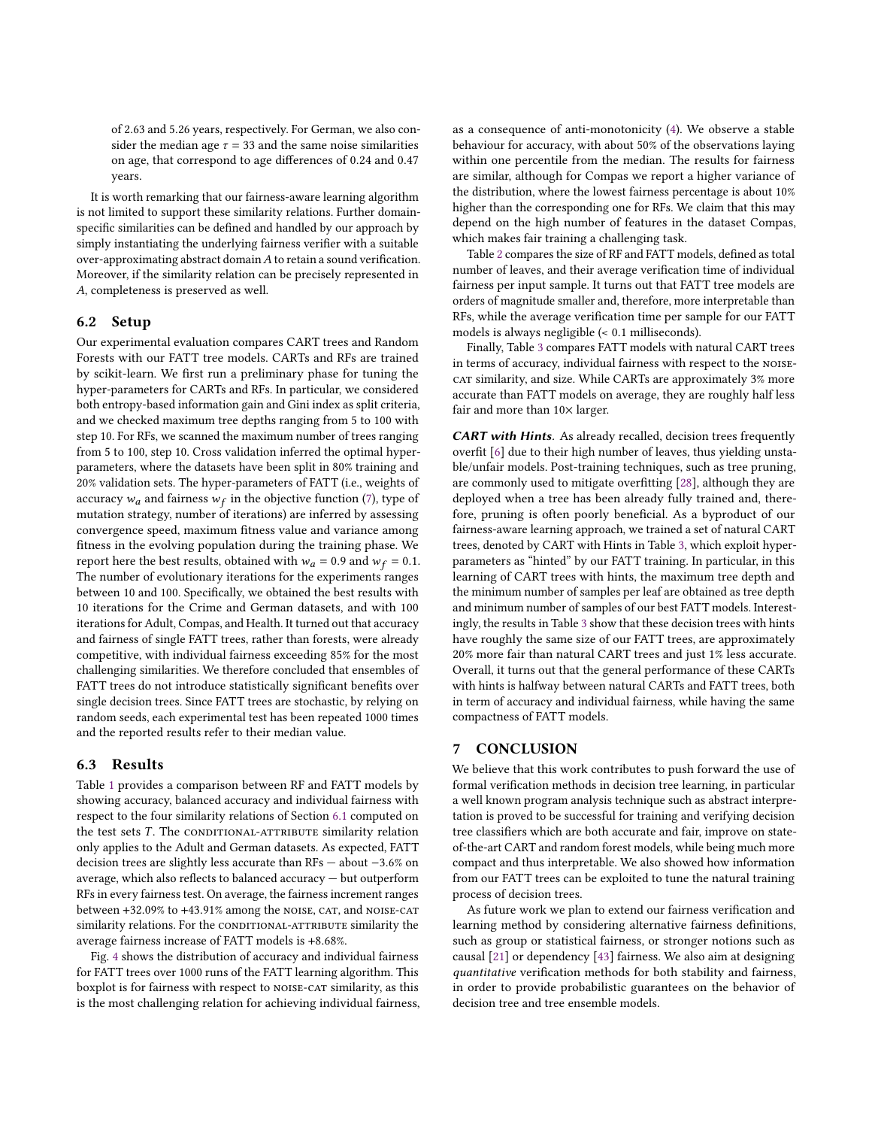of 2.63 and 5.26 years, respectively. For German, we also consider the median age  $\tau = 33$  and the same noise similarities on age, that correspond to age differences of 0.24 and 0.47 years.

It is worth remarking that our fairness-aware learning algorithm is not limited to support these similarity relations. Further domainspecific similarities can be defined and handled by our approach by simply instantiating the underlying fairness verifier with a suitable over-approximating abstract domain  $A$  to retain a sound verification. Moreover, if the similarity relation can be precisely represented in , completeness is preserved as well.

#### 6.2 Setup

Our experimental evaluation compares CART trees and Random Forests with our FATT tree models. CARTs and RFs are trained by scikit-learn. We first run a preliminary phase for tuning the hyper-parameters for CARTs and RFs. In particular, we considered both entropy-based information gain and Gini index as split criteria, and we checked maximum tree depths ranging from 5 to 100 with step 10. For RFs, we scanned the maximum number of trees ranging from 5 to 100, step 10. Cross validation inferred the optimal hyperparameters, where the datasets have been split in 80% training and 20% validation sets. The hyper-parameters of FATT (i.e., weights of accuracy  $w_a$  and fairness  $w_f$  in the objective function [\(7\)](#page-5-1), type of mutation strategy, number of iterations) are inferred by assessing convergence speed, maximum fitness value and variance among fitness in the evolving population during the training phase. We report here the best results, obtained with  $w_a = 0.9$  and  $w_f = 0.1$ . The number of evolutionary iterations for the experiments ranges between 10 and 100. Specifically, we obtained the best results with 10 iterations for the Crime and German datasets, and with 100 iterations for Adult, Compas, and Health. It turned out that accuracy and fairness of single FATT trees, rather than forests, were already competitive, with individual fairness exceeding 85% for the most challenging similarities. We therefore concluded that ensembles of FATT trees do not introduce statistically significant benefits over single decision trees. Since FATT trees are stochastic, by relying on random seeds, each experimental test has been repeated 1000 times and the reported results refer to their median value.

## 6.3 Results

Table [1](#page-8-0) provides a comparison between RF and FATT models by showing accuracy, balanced accuracy and individual fairness with respect to the four similarity relations of Section [6.1](#page-6-0) computed on the test sets  $T$ . The CONDITIONAL-ATTRIBUTE similarity relation only applies to the Adult and German datasets. As expected, FATT decision trees are slightly less accurate than RFs — about −3.6% on average, which also reflects to balanced accuracy — but outperform RFs in every fairness test. On average, the fairness increment ranges between +32.09% to +43.91% among the NOISE, CAT, and NOISE-CAT similarity relations. For the CONDITIONAL-ATTRIBUTE similarity the average fairness increase of FATT models is +8.68%.

Fig. [4](#page-8-1) shows the distribution of accuracy and individual fairness for FATT trees over 1000 runs of the FATT learning algorithm. This boxplot is for fairness with respect to NOISE-CAT similarity, as this is the most challenging relation for achieving individual fairness, as a consequence of anti-monotonicity [\(4\)](#page-3-5). We observe a stable behaviour for accuracy, with about 50% of the observations laying within one percentile from the median. The results for fairness are similar, although for Compas we report a higher variance of the distribution, where the lowest fairness percentage is about 10% higher than the corresponding one for RFs. We claim that this may depend on the high number of features in the dataset Compas, which makes fair training a challenging task.

Table [2](#page-8-2) compares the size of RF and FATT models, defined as total number of leaves, and their average verification time of individual fairness per input sample. It turns out that FATT tree models are orders of magnitude smaller and, therefore, more interpretable than RFs, while the average verification time per sample for our FATT models is always negligible (< 0.1 milliseconds).

Finally, Table [3](#page-8-3) compares FATT models with natural CART trees in terms of accuracy, individual fairness with respect to the NOISEcat similarity, and size. While CARTs are approximately 3% more accurate than FATT models on average, they are roughly half less fair and more than  $10\times$  larger.

CART with Hints. As already recalled, decision trees frequently overfit [\[6\]](#page-9-40) due to their high number of leaves, thus yielding unstable/unfair models. Post-training techniques, such as tree pruning, are commonly used to mitigate overfitting [\[28\]](#page-9-45), although they are deployed when a tree has been already fully trained and, therefore, pruning is often poorly beneficial. As a byproduct of our fairness-aware learning approach, we trained a set of natural CART trees, denoted by CART with Hints in Table [3,](#page-8-3) which exploit hyperparameters as "hinted" by our FATT training. In particular, in this learning of CART trees with hints, the maximum tree depth and the minimum number of samples per leaf are obtained as tree depth and minimum number of samples of our best FATT models. Interestingly, the results in Table [3](#page-8-3) show that these decision trees with hints have roughly the same size of our FATT trees, are approximately 20% more fair than natural CART trees and just 1% less accurate. Overall, it turns out that the general performance of these CARTs with hints is halfway between natural CARTs and FATT trees, both in term of accuracy and individual fairness, while having the same compactness of FATT models.

# <span id="page-7-0"></span>7 CONCLUSION

We believe that this work contributes to push forward the use of formal verification methods in decision tree learning, in particular a well known program analysis technique such as abstract interpretation is proved to be successful for training and verifying decision tree classifiers which are both accurate and fair, improve on stateof-the-art CART and random forest models, while being much more compact and thus interpretable. We also showed how information from our FATT trees can be exploited to tune the natural training process of decision trees.

As future work we plan to extend our fairness verification and learning method by considering alternative fairness definitions, such as group or statistical fairness, or stronger notions such as causal [\[21\]](#page-9-46) or dependency [\[43\]](#page-9-14) fairness. We also aim at designing quantitative verification methods for both stability and fairness, in order to provide probabilistic guarantees on the behavior of decision tree and tree ensemble models.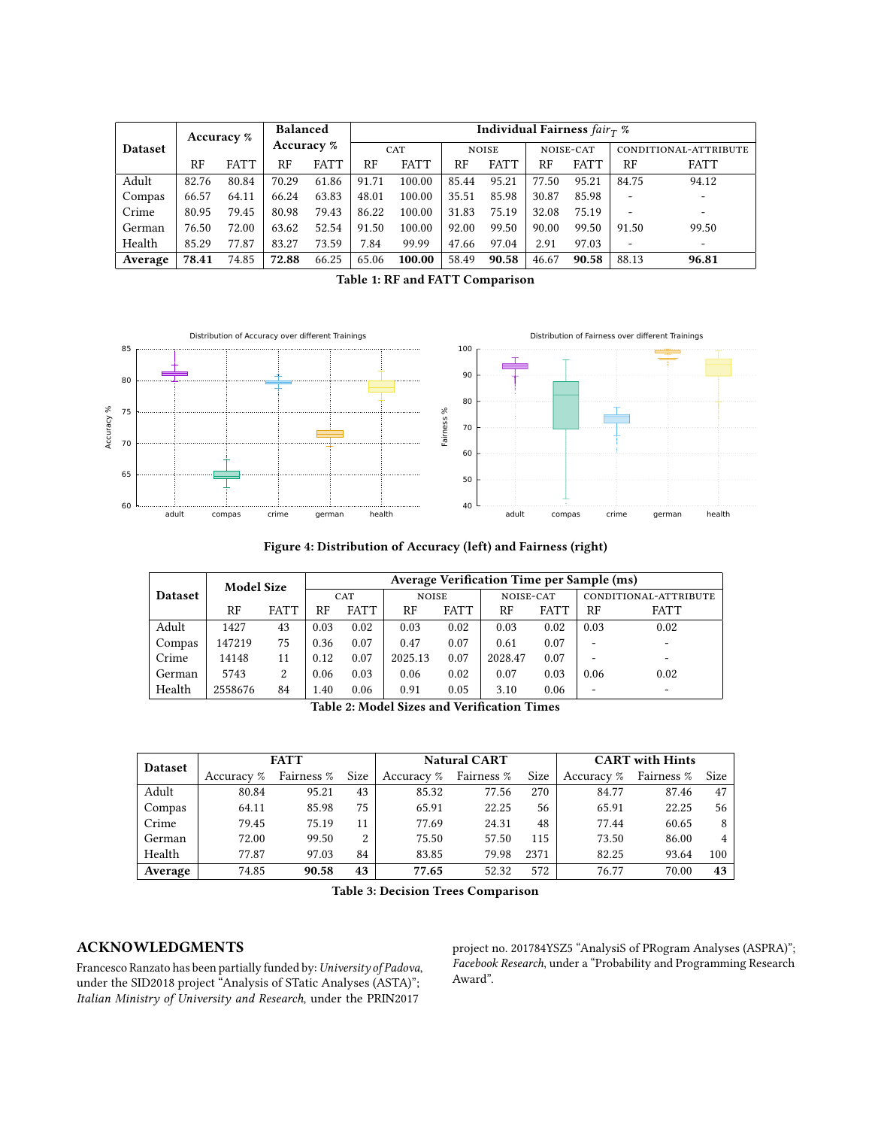<span id="page-8-0"></span>

|                | Accuracy % |             | <b>Balanced</b><br>Accuracy % |             | Individual Fairness $fair_T$ % |             |           |             |                       |             |                          |                          |
|----------------|------------|-------------|-------------------------------|-------------|--------------------------------|-------------|-----------|-------------|-----------------------|-------------|--------------------------|--------------------------|
| <b>Dataset</b> |            | CAT         |                               |             | <b>NOISE</b>                   |             | NOISE-CAT |             | CONDITIONAL-ATTRIBUTE |             |                          |                          |
|                | RF         | <b>FATT</b> | RF                            | <b>FATT</b> | RF                             | <b>FATT</b> | RF        | <b>FATT</b> | RF                    | <b>FATT</b> | RF                       | <b>FATT</b>              |
| Adult          | 82.76      | 80.84       | 70.29                         | 61.86       | 91.71                          | 100.00      | 85.44     | 95.21       | 77.50                 | 95.21       | 84.75                    | 94.12                    |
| Compas         | 66.57      | 64.11       | 66.24                         | 63.83       | 48.01                          | 100.00      | 35.51     | 85.98       | 30.87                 | 85.98       |                          |                          |
| Crime          | 80.95      | 79.45       | 80.98                         | 79.43       | 86.22                          | 100.00      | 31.83     | 75.19       | 32.08                 | 75.19       | -                        | -                        |
| German         | 76.50      | 72.00       | 63.62                         | 52.54       | 91.50                          | 100.00      | 92.00     | 99.50       | 90.00                 | 99.50       | 91.50                    | 99.50                    |
| Health         | 85.29      | 77.87       | 83.27                         | 73.59       | 7.84                           | 99.99       | 47.66     | 97.04       | 2.91                  | 97.03       | $\overline{\phantom{a}}$ | $\overline{\phantom{a}}$ |
| Average        | 78.41      | 74.85       | 72.88                         | 66.25       | 65.06                          | 100.00      | 58.49     | 90.58       | 46.67                 | 90.58       | 88.13                    | 96.81                    |

Table 1: RF and FATT Comparison

<span id="page-8-1"></span>

Figure 4: Distribution of Accuracy (left) and Fairness (right)

<span id="page-8-2"></span>

| <b>Dataset</b> | <b>Model Size</b><br><b>FATT</b><br>RF |    | Average Verification Time per Sample (ms) |             |              |             |           |             |                       |             |  |
|----------------|----------------------------------------|----|-------------------------------------------|-------------|--------------|-------------|-----------|-------------|-----------------------|-------------|--|
|                |                                        |    | CAT                                       |             | <b>NOISE</b> |             | NOISE-CAT |             | CONDITIONAL-ATTRIBUTE |             |  |
|                |                                        |    | RF                                        | <b>FATT</b> | RF           | <b>FATT</b> | RF        | <b>FATT</b> | RF                    | <b>FATT</b> |  |
| Adult          | 1427                                   | 43 | 0.03                                      | 0.02        | 0.03         | 0.02        | 0.03      | 0.02        | 0.03                  | 0.02        |  |
| Compas         | 147219                                 | 75 | 0.36                                      | 0.07        | 0.47         | 0.07        | 0.61      | 0.07        |                       |             |  |
| Crime          | 14148                                  | 11 | 0.12                                      | 0.07        | 2025.13      | 0.07        | 2028.47   | 0.07        |                       | -           |  |
| German         | 5743                                   | 2  | 0.06                                      | 0.03        | 0.06         | 0.02        | 0.07      | 0.03        | 0.06                  | 0.02        |  |
| Health         | 2558676                                | 84 | 1.40                                      | 0.06        | 0.91         | 0.05        | 3.10      | 0.06        | -                     | -           |  |

|  | <b>Table 2: Model Sizes and Verification Times</b> |  |
|--|----------------------------------------------------|--|
|  |                                                    |  |

<span id="page-8-3"></span>

| <b>Dataset</b> |            | <b>FATT</b> |      |            | <b>Natural CART</b> |      | <b>CART</b> with Hints |            |      |  |
|----------------|------------|-------------|------|------------|---------------------|------|------------------------|------------|------|--|
|                | Accuracy % | Fairness %  | Size | Accuracy % | Fairness %          | Size | Accuracy %             | Fairness % | Size |  |
| Adult          | 80.84      | 95.21       | 43   | 85.32      | 77.56               | 270  | 84.77                  | 87.46      | 47   |  |
| Compas         | 64.11      | 85.98       | 75   | 65.91      | 22.25               | 56   | 65.91                  | 22.25      | 56   |  |
| Crime          | 79.45      | 75.19       | 11   | 77.69      | 24.31               | 48   | 77.44                  | 60.65      | 8    |  |
| German         | 72.00      | 99.50       | 2    | 75.50      | 57.50               | 115  | 73.50                  | 86.00      |      |  |
| Health         | 77.87      | 97.03       | 84   | 83.85      | 79.98               | 2371 | 82.25                  | 93.64      | 100  |  |
| Average        | 74.85      | 90.58       | 43   | 77.65      | 52.32               | 572  | 76.77                  | 70.00      | 43   |  |

Table 3: Decision Trees Comparison

# ACKNOWLEDGMENTS

Francesco Ranzato has been partially funded by: University of Padova, under the SID2018 project "Analysis of STatic Analyses (ASTA)"; Italian Ministry of University and Research, under the PRIN2017

project no. 201784YSZ5 "AnalysiS of PRogram Analyses (ASPRA)"; Facebook Research, under a "Probability and Programming Research Award".